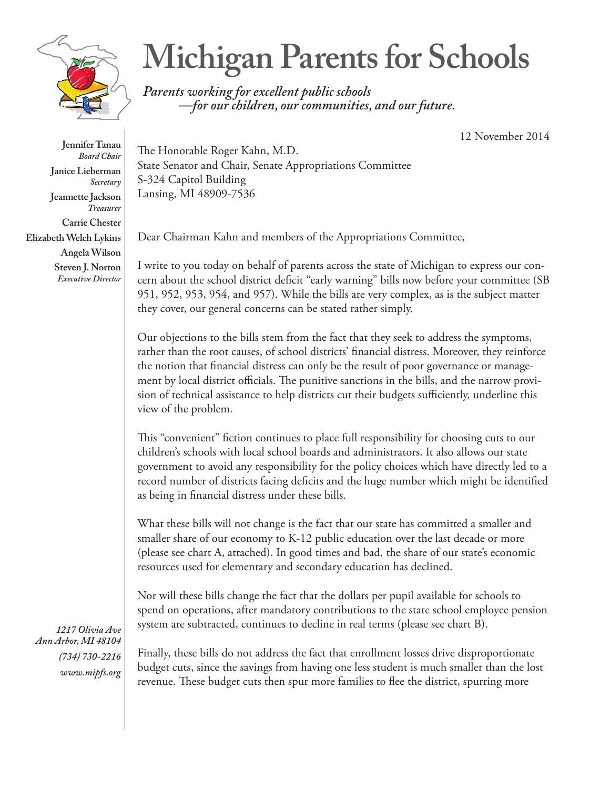

**Michigan Parents for Schools**

*Parents working for excellent public schools —for our children, our communities, and our future.*

12 November 2014

The Honorable Roger Kahn, M.D. State Senator and Chair, Senate Appropriations Committee S-324 Capitol Building Lansing, MI 48909-7536

Dear Chairman Kahn and members of the Appropriations Committee,

I write to you today on behalf of parents across the state of Michigan to express our concern about the school district deficit "early warning" bills now before your committee (SB 951, 952, 953, 954, and 957). While the bills are very complex, as is the subject matter they cover, our general concerns can be stated rather simply.

Our objections to the bills stem from the fact that they seek to address the symptoms, rather than the root causes, of school districts' financial distress. Moreover, they reinforce the notion that financial distress can only be the result of poor governance or management by local district officials. The punitive sanctions in the bills, and the narrow provision of technical assistance to help districts cut their budgets sufficiently, underline this view of the problem.

This "convenient" fiction continues to place full responsibility for choosing cuts to our children's schools with local school boards and administrators. It also allows our state government to avoid any responsibility for the policy choices which have directly led to a record number of districts facing deficits and the huge number which might be identified as being in financial distress under these bills.

What these bills will not change is the fact that our state has committed a smaller and smaller share of our economy to K-12 public education over the last decade or more (please see chart A, attached). In good times and bad, the share of our state's economic resources used for elementary and secondary education has declined.

Nor will these bills change the fact that the dollars per pupil available for schools to spend on operations, after mandatory contributions to the state school employee pension system are subtracted, continues to decline in real terms (please see chart B).

*1217 Olivia Ave Ann Arbor, MI 48104 (734) 730-2216 www.mipfs.org*

Finally, these bills do not address the fact that enrollment losses drive disproportionate budget cuts, since the savings from having one less student is much smaller than the lost revenue. These budget cuts then spur more families to flee the district, spurring more

**Jennifer Tanau** *Board Chair* **Janice Lieberman** *Secretary* **Jeannette Jackson** *Treasurer* **Carrie Chester Elizabeth Welch Lykins Angela Wilson Steven J. Norton** *Executive Director*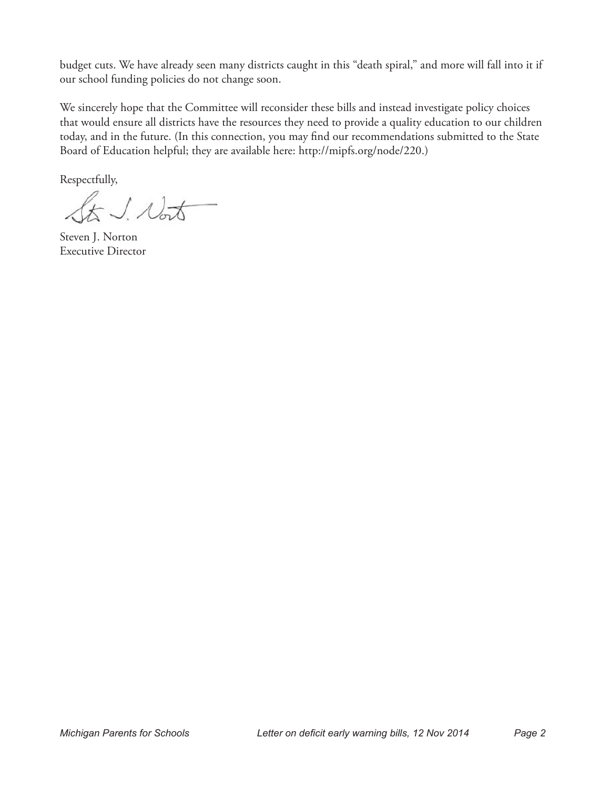budget cuts. We have already seen many districts caught in this "death spiral," and more will fall into it if our school funding policies do not change soon.

We sincerely hope that the Committee will reconsider these bills and instead investigate policy choices that would ensure all districts have the resources they need to provide a quality education to our children today, and in the future. (In this connection, you may find our recommendations submitted to the State Board of Education helpful; they are available here: http://mipfs.org/node/220.)

Respectfully,

St J. Nort

Steven J. Norton Executive Director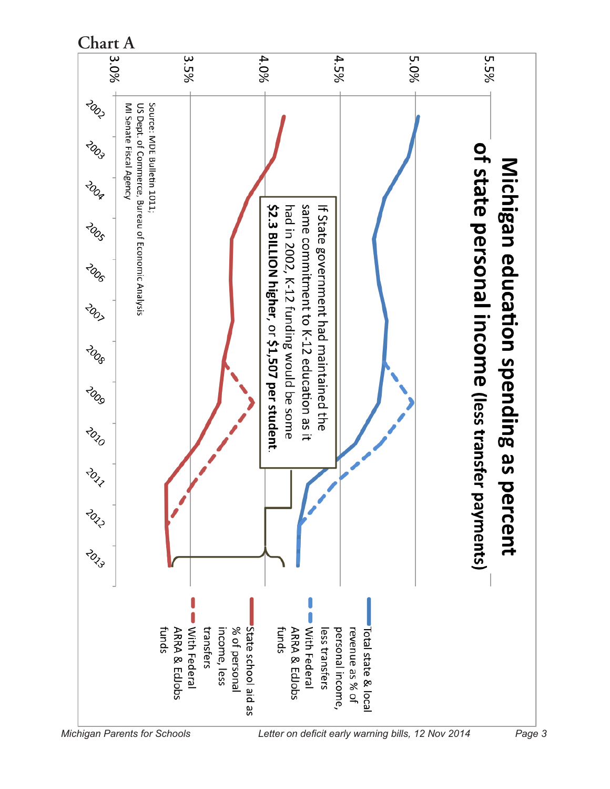